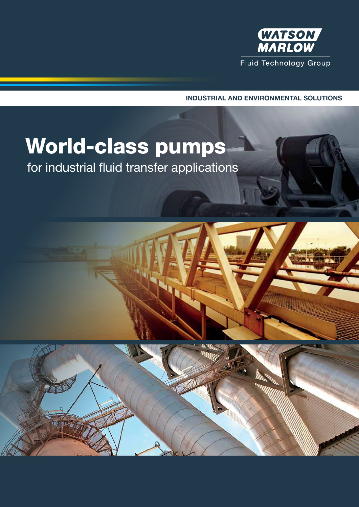

INDUSTRIAL AND ENVIRONMENTAL SOLUTIONS

# World-class pumps

for industrial fluid transfer applications

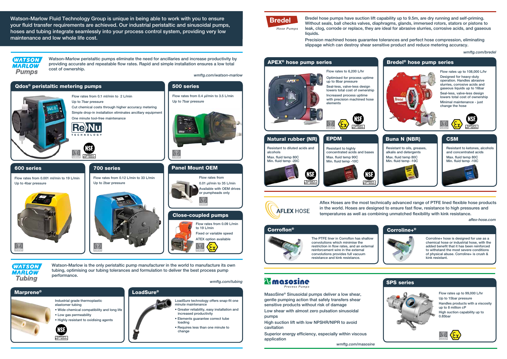

MasoSine® Sinusoidal pumps deliver a low shear, gentle pumping action that safely transfers shear sensitive products without risk of damage

Low shear with almost zero pulsation sinusoidal pumps

High suction lift with low NPSHR/NIPR to avoid cavitation

Superior energy efficiency, especially within viscous application

Flow rates up to 99,000 L/hr Up to 15bar pressure Handles products with a viscosity up to 8 million cP High suction capability up to 0.85bar



Watson-Marlow is the only peristaltic pump manufacturer in the world to manufacture its own tubing, optimising our tubing tolerances and formulation to deliver the best process pump performance.

*wmftg.com/tubing*

Bredel hose pumps have suction lift capability up to 9.5m, are dry running and self-priming. Without seals, ball checks valves, diaphragms, glands, immersed rotors, stators or pistons to leak, clog, corrode or replace, they are ideal for abrasive slurries, corrosive acids, and gaseous liquids.

Precision machined hoses guarantee tolerances and perfect hose compression, eliminating slippage which can destroy shear sensitive product and reduce metering accuracy.

# Flow rates to 6,200 L/hr

Optimised for process uptime up to 8bar pressure Seal-less, valve-less design lowers total cost of ownership Increased process uptime with precision machined hose elements





**WATSON MARLOW Tubing** 

*wmftg.com/bredel*

Corroline+ hose is designed for use as a chemical hose or industrial hose, with the added benefit that it has been reinforced to withstand the most severe conditions of physical abuse. Corroline+ is crush & kink resistant.

The PTFE liner in Corroflon has shallow convolutions which minimise the restriction in flow rates, and an external reinforcement wire in the external convolutions provides full vacuum resistance and kink resistance.

# *<u>Amasosine</u>*

*wmftg.com/masosine wmftg.com/masosine*



## **Bredel**

**Hose Pumps** 

Aflex Hoses are the most technically advanced range of PTFE lined flexible hose products in the world. Hoses are designed to ensure fast flow, resistance to high pressures and temperatures as well as combining unmatched flexibility with kink resistance.





Watson-Marlow peristaltic pumps eliminate the need for ancillaries and increase productivity by providing accurate and repeatable flow rates. Rapid and simple installation ensures a low total cost of ownership.

| <b>Natural rubber (NR)</b>                  |                                        |
|---------------------------------------------|----------------------------------------|
| Resistant to diluted acids and<br>alcohols  |                                        |
| Max. fluid temp 80C<br>Min. fluid temp -20C |                                        |
|                                             | <b>ASE</b><br>Certified to<br>/ ANSL61 |

EPDM





Watson-Marlow Fluid Technology Group is unique in being able to work with you to ensure your fluid transfer requirements are achieved. Our industrial peristaltic and sinusoidal pumps, hoses and tubing integrate seamlessly into your process control system, providing very low maintenance and low whole life cost.

#### **WATSON MARLOW Pumps**

#### Corroflon® Corroline+®



#### SPS series



*aflex-hose.com*